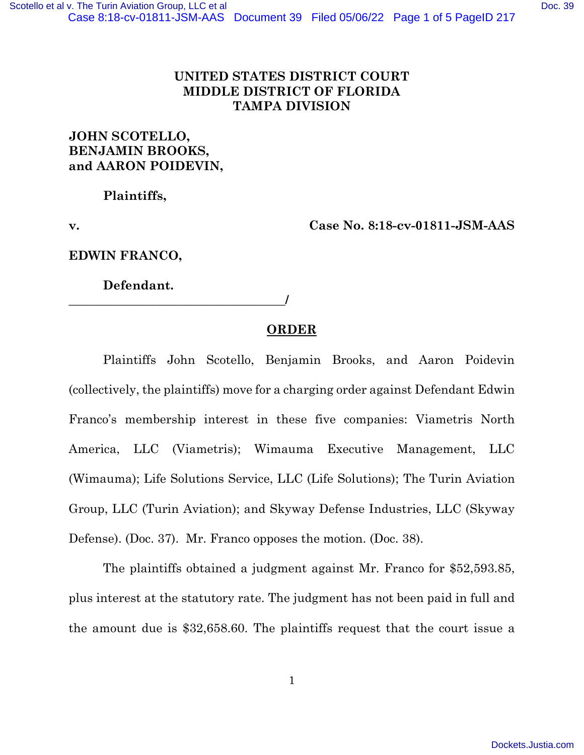## **UNITED STATES DISTRICT COURT MIDDLE DISTRICT OF FLORIDA TAMPA DIVISION**

## **JOHN SCOTELLO, BENJAMIN BROOKS, and AARON POIDEVIN,**

**Plaintiffs,** 

**v. Case No. 8:18-cv-01811-JSM-AAS**

**EDWIN FRANCO,** 

 **Defendant.** 

**\_\_\_\_\_\_\_\_\_\_\_\_\_\_\_\_\_\_\_\_\_\_\_\_\_\_\_\_\_\_\_\_\_\_\_/** 

## **ORDER**

Plaintiffs John Scotello, Benjamin Brooks, and Aaron Poidevin (collectively, the plaintiffs) move for a charging order against Defendant Edwin Franco's membership interest in these five companies: Viametris North America, LLC (Viametris); Wimauma Executive Management, LLC (Wimauma); Life Solutions Service, LLC (Life Solutions); The Turin Aviation Group, LLC (Turin Aviation); and Skyway Defense Industries, LLC (Skyway Defense). (Doc. 37). Mr. Franco opposes the motion. (Doc. 38).

The plaintiffs obtained a judgment against Mr. Franco for \$52,593.85, plus interest at the statutory rate. The judgment has not been paid in full and the amount due is \$32,658.60. The plaintiffs request that the court issue a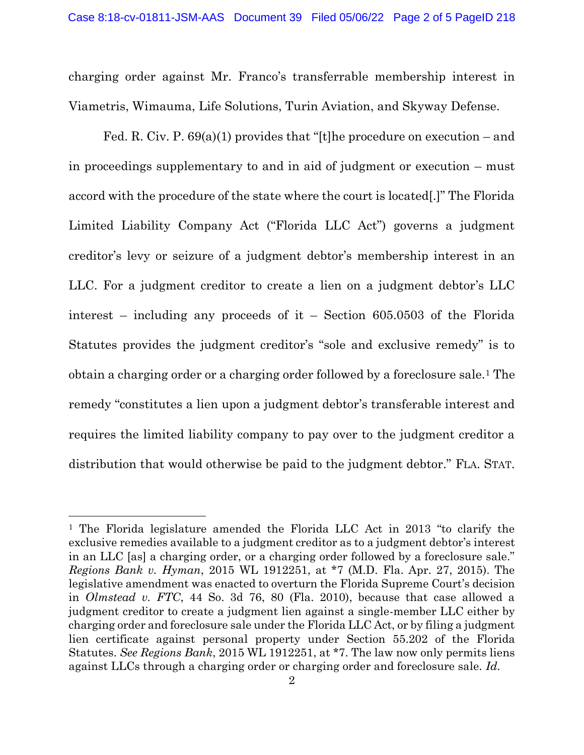charging order against Mr. Franco's transferrable membership interest in Viametris, Wimauma, Life Solutions, Turin Aviation, and Skyway Defense.

Fed. R. Civ. P.  $69(a)(1)$  provides that "[t]he procedure on execution – and in proceedings supplementary to and in aid of judgment or execution – must accord with the procedure of the state where the court is located[.]" The Florida Limited Liability Company Act ("Florida LLC Act") governs a judgment creditor's levy or seizure of a judgment debtor's membership interest in an LLC. For a judgment creditor to create a lien on a judgment debtor's LLC interest – including any proceeds of it – Section 605.0503 of the Florida Statutes provides the judgment creditor's "sole and exclusive remedy" is to obtain a charging order or a charging order followed by a foreclosure sale.1 The remedy "constitutes a lien upon a judgment debtor's transferable interest and requires the limited liability company to pay over to the judgment creditor a distribution that would otherwise be paid to the judgment debtor." FLA. STAT.

<sup>1</sup> The Florida legislature amended the Florida LLC Act in 2013 "to clarify the exclusive remedies available to a judgment creditor as to a judgment debtor's interest in an LLC [as] a charging order, or a charging order followed by a foreclosure sale." *Regions Bank v. Hyman*, 2015 WL 1912251, at \*7 (M.D. Fla. Apr. 27, 2015). The legislative amendment was enacted to overturn the Florida Supreme Court's decision in *Olmstead v. FTC*, 44 So. 3d 76, 80 (Fla. 2010), because that case allowed a judgment creditor to create a judgment lien against a single-member LLC either by charging order and foreclosure sale under the Florida LLC Act, or by filing a judgment lien certificate against personal property under Section 55.202 of the Florida Statutes. *See Regions Bank*, 2015 WL 1912251, at \*7. The law now only permits liens against LLCs through a charging order or charging order and foreclosure sale. *Id.*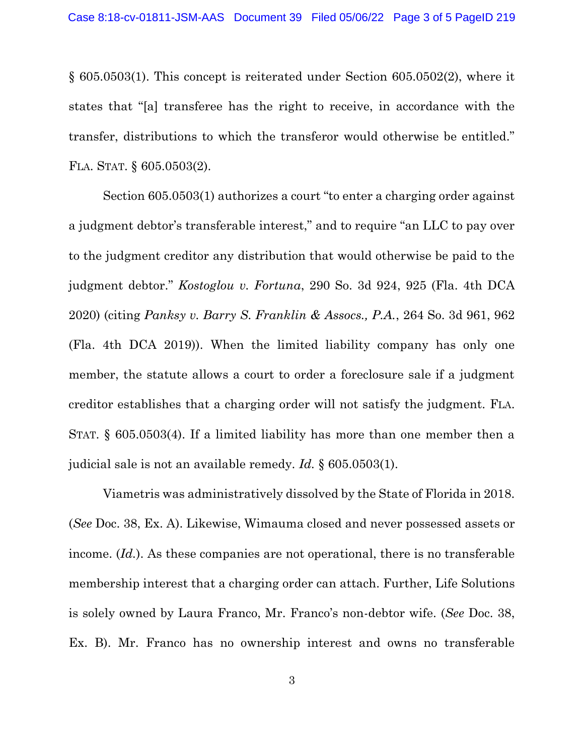§ 605.0503(1). This concept is reiterated under Section 605.0502(2), where it states that "[a] transferee has the right to receive, in accordance with the transfer, distributions to which the transferor would otherwise be entitled." FLA. STAT. § 605.0503(2).

 Section 605.0503(1) authorizes a court "to enter a charging order against a judgment debtor's transferable interest," and to require "an LLC to pay over to the judgment creditor any distribution that would otherwise be paid to the judgment debtor." *Kostoglou v. Fortuna*, 290 So. 3d 924, 925 (Fla. 4th DCA 2020) (citing *Panksy v. Barry S. Franklin & Assocs., P.A.*, 264 So. 3d 961, 962 (Fla. 4th DCA 2019)). When the limited liability company has only one member, the statute allows a court to order a foreclosure sale if a judgment creditor establishes that a charging order will not satisfy the judgment. FLA. STAT. § 605.0503(4). If a limited liability has more than one member then a judicial sale is not an available remedy. *Id.* § 605.0503(1).

Viametris was administratively dissolved by the State of Florida in 2018. (*See* Doc. 38, Ex. A). Likewise, Wimauma closed and never possessed assets or income. (*Id.*). As these companies are not operational, there is no transferable membership interest that a charging order can attach. Further, Life Solutions is solely owned by Laura Franco, Mr. Franco's non-debtor wife. (*See* Doc. 38, Ex. B). Mr. Franco has no ownership interest and owns no transferable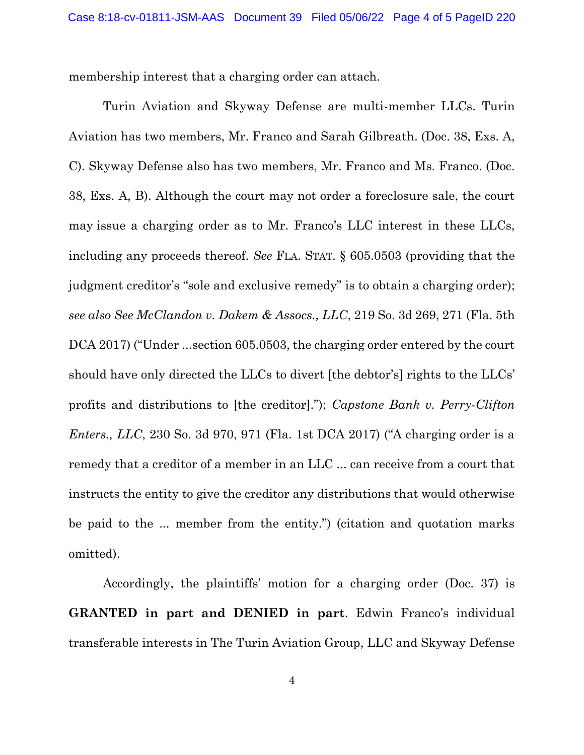membership interest that a charging order can attach.

 Turin Aviation and Skyway Defense are multi-member LLCs. Turin Aviation has two members, Mr. Franco and Sarah Gilbreath. (Doc. 38, Exs. A, C). Skyway Defense also has two members, Mr. Franco and Ms. Franco. (Doc. 38, Exs. A, B). Although the court may not order a foreclosure sale, the court may issue a charging order as to Mr. Franco's LLC interest in these LLCs, including any proceeds thereof. *See* FLA. STAT. § 605.0503 (providing that the judgment creditor's "sole and exclusive remedy" is to obtain a charging order); *see also See McClandon v. Dakem & Assocs., LLC*, 219 So. 3d 269, 271 (Fla. 5th DCA 2017) ("Under ...section 605.0503, the charging order entered by the court should have only directed the LLCs to divert [the debtor's] rights to the LLCs' profits and distributions to [the creditor]."); *Capstone Bank v. Perry-Clifton Enters., LLC*, 230 So. 3d 970, 971 (Fla. 1st DCA 2017) ("A charging order is a remedy that a creditor of a member in an LLC ... can receive from a court that instructs the entity to give the creditor any distributions that would otherwise be paid to the ... member from the entity.") (citation and quotation marks omitted).

Accordingly, the plaintiffs' motion for a charging order (Doc. 37) is **GRANTED in part and DENIED in part**. Edwin Franco's individual transferable interests in The Turin Aviation Group, LLC and Skyway Defense